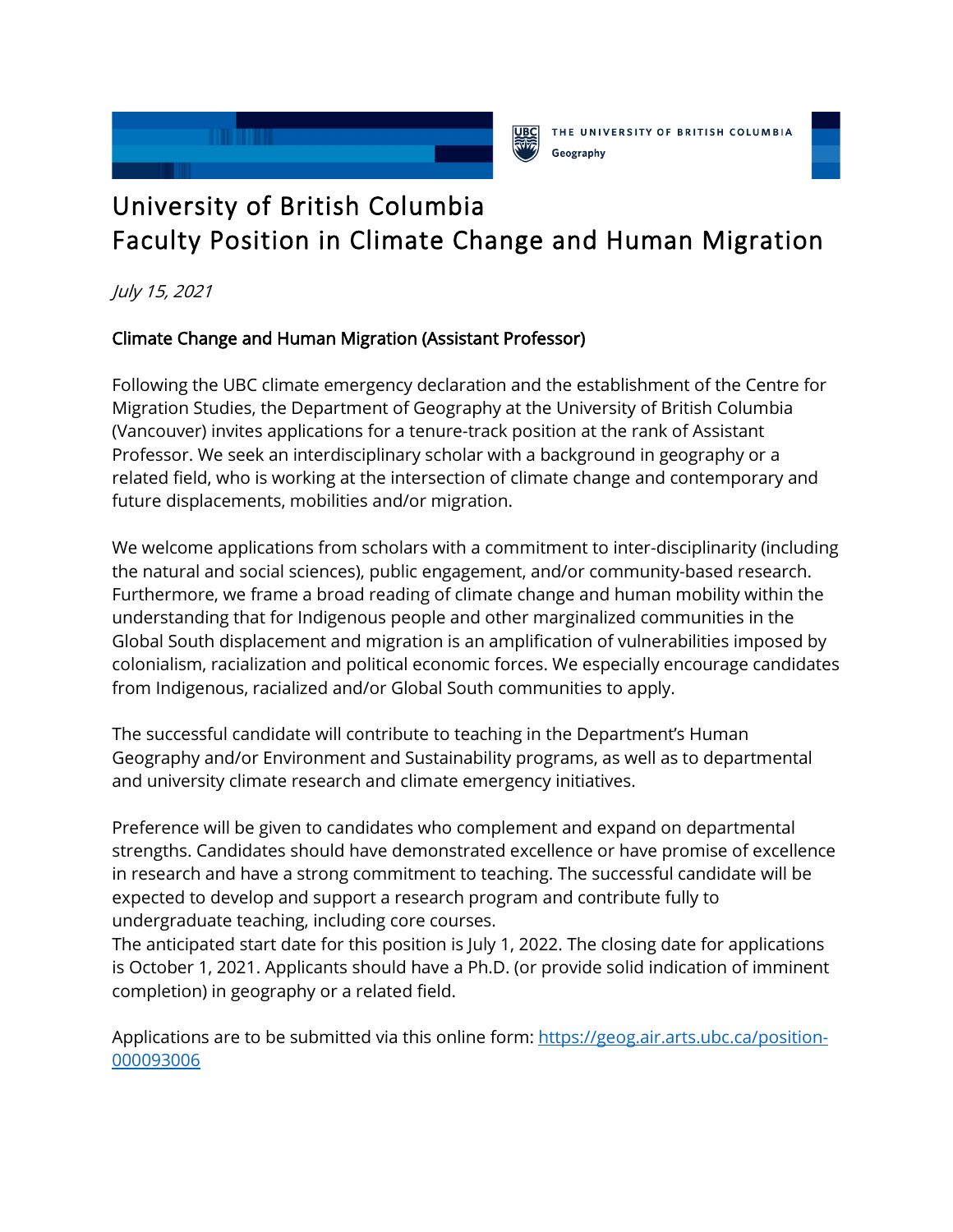



## University of British Columbia Faculty Position in Climate Change and Human Migration

July 15, 2021

## Climate Change and Human Migration (Assistant Professor)

Following the UBC climate emergency declaration and the establishment of the Centre for Migration Studies, the Department of Geography at the University of British Columbia (Vancouver) invites applications for a tenure-track position at the rank of Assistant Professor. We seek an interdisciplinary scholar with a background in geography or a related field, who is working at the intersection of climate change and contemporary and future displacements, mobilities and/or migration.

We welcome applications from scholars with a commitment to inter-disciplinarity (including the natural and social sciences), public engagement, and/or community-based research. Furthermore, we frame a broad reading of climate change and human mobility within the understanding that for Indigenous people and other marginalized communities in the Global South displacement and migration is an amplification of vulnerabilities imposed by colonialism, racialization and political economic forces. We especially encourage candidates from Indigenous, racialized and/or Global South communities to apply.

The successful candidate will contribute to teaching in the Department's Human Geography and/or Environment and Sustainability programs, as well as to departmental and university climate research and climate emergency initiatives.

Preference will be given to candidates who complement and expand on departmental strengths. Candidates should have demonstrated excellence or have promise of excellence in research and have a strong commitment to teaching. The successful candidate will be expected to develop and support a research program and contribute fully to undergraduate teaching, including core courses.

The anticipated start date for this position is July 1, 2022. The closing date for applications is October 1, 2021. Applicants should have a Ph.D. (or provide solid indication of imminent completion) in geography or a related field.

Applications are to be submitted via this online form: [https://geog.air.arts.ubc.ca/position-](https://geog.air.arts.ubc.ca/position-000093006)[000093006](https://geog.air.arts.ubc.ca/position-000093006)